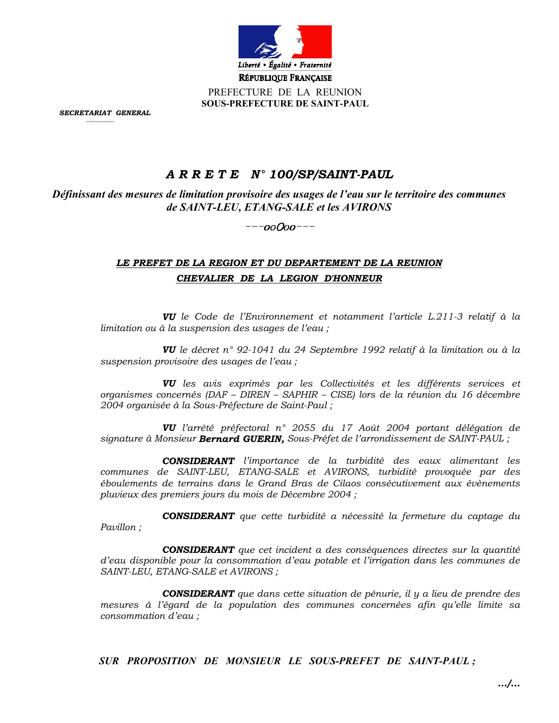

PREFECTURE DE LA REUNION **SOUS-PREFECTURE DE SAINT-PAUL** 

SECRETARIAT GENERAL

# A R R E T E N° 100/SP/SAINT-PAUL

Définissant des mesures de limitation provisoire des usages de l'eau sur le territoire des communes de SAINT-LEU, ETANG-SALE et les AVIRONS

 $---ooOoo---$ 

# LE PREFET DE LA REGION ET DU DEPARTEMENT DE LA REUNION CHEVALIER DE LA LEGION D'HONNEUR

VU le Code de l'Environnement et notamment l'article L.211-3 relatif à la limitation ou à la suspension des usages de l'eau;

VU le décret n° 92-1041 du 24 Septembre 1992 relatif à la limitation ou à la suspension provisoire des usages de l'eau;

VU les avis exprimés par les Collectivités et les différents services et organismes concernés (DAF - DIREN - SAPHIR - CISE) lors de la réunion du 16 décembre 2004 organisée à la Sous-Préfecture de Saint-Paul;

VU l'arrêté préfectoral n° 2055 du 17 Août 2004 portant délégation de signature à Monsieur **Bernard GUERIN**, Sous-Préfet de l'arrondissement de SAINT-PAUL;

**CONSIDERANT** l'importance de la turbidité des eaux alimentant les communes de SAINT-LEU, ETANG-SALE et AVIRONS, turbidité provoquée par des éboulements de terrains dans le Grand Bras de Cilaos consécutivement aux évènements pluvieux des premiers jours du mois de Décembre 2004;

**CONSIDERANT** que cette turbidité a nécessité la fermeture du captage du Pavillon;

**CONSIDERANT** que cet incident a des conséquences directes sur la quantité d'eau disponible pour la consommation d'eau potable et l'irrigation dans les communes de SAINT-LEU, ETANG-SALE et AVIRONS ;

**CONSIDERANT** que dans cette situation de pénurie, il y a lieu de prendre des mesures à l'égard de la population des communes concernées afin qu'elle limite sa consommation d'eau :

SUR PROPOSITION DE MONSIEUR LE SOUS-PREFET DE SAINT-PAUL;